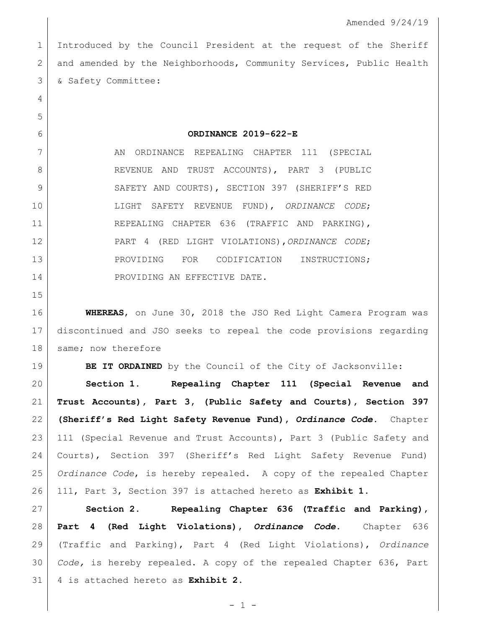Introduced by the Council President at the request of the Sheriff and amended by the Neighborhoods, Community Services, Public Health & Safety Committee:

**ORDINANCE 2019-622-E**

7 | AN ORDINANCE REPEALING CHAPTER 111 (SPECIAL 8 REVENUE AND TRUST ACCOUNTS), PART 3 (PUBLIC 9 SAFETY AND COURTS), SECTION 397 (SHERIFF'S RED LIGHT SAFETY REVENUE FUND), *ORDINANCE CODE*; 11 REPEALING CHAPTER 636 (TRAFFIC AND PARKING), PART 4 (RED LIGHT VIOLATIONS),*ORDINANCE CODE*; 13 PROVIDING FOR CODIFICATION INSTRUCTIONS; 14 | PROVIDING AN EFFECTIVE DATE.

 **WHEREAS**, on June 30, 2018 the JSO Red Light Camera Program was discontinued and JSO seeks to repeal the code provisions regarding 18 | same; now therefore

**BE IT ORDAINED** by the Council of the City of Jacksonville:

 **Section 1. Repealing Chapter 111 (Special Revenue and Trust Accounts), Part 3, (Public Safety and Courts), Section 397 (Sheriff's Red Light Safety Revenue Fund),** *Ordinance Code***.** Chapter 111 (Special Revenue and Trust Accounts), Part 3 (Public Safety and Courts), Section 397 (Sheriff's Red Light Safety Revenue Fund) *Ordinance Code*, is hereby repealed. A copy of the repealed Chapter 111, Part 3, Section 397 is attached hereto as **Exhibit 1**.

 **Section 2. Repealing Chapter 636 (Traffic and Parking), Part 4 (Red Light Violations),** *Ordinance Code***.** Chapter 636 (Traffic and Parking), Part 4 (Red Light Violations), *Ordinance Code,* is hereby repealed. A copy of the repealed Chapter 636, Part 4 is attached hereto as **Exhibit 2.**